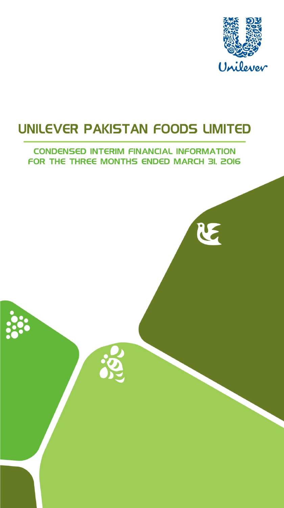

RE

### UNILEVER PAKISTAN FOODS LIMITED

#### **CONDENSED INTERIM FINANCIAL INFORMATION** FOR THE THREE MONTHS ENDED MARCH 3I, 2016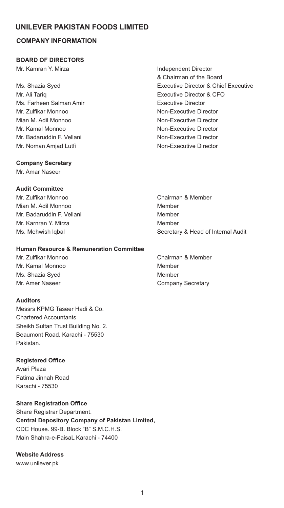#### **COMPANY INFORMATION**

#### **BOARD OF DIRECTORS**

Mr. Kamran Y. Mirza **Independent Director** 

Mr. Ali Tariq Executive Director & CFO Ms. Farheen Salman Amir **Executive Director** Mr. Zulfikar Monnoo Non-Executive Director Mian M. Adil Monnoo Non-Executive Director Mr. Kamal Monnoo Non-Executive Director Mr. Badaruddin F. Vellani Non-Executive Director Mr. Noman Amiad Lutfi Non-Executive Director

# & Chairman of the Board Ms. Shazia Syed Executive Director & Chief Executive

#### **Company Secretary**

Mr. Amar Naseer

#### **Audit Committee**

Mr. Zulfikar Monnoo Chairman & Member Mian M. Adil Monnoo Member Mr. Badaruddin F. Vellani Member Mr. Karnran Y. Mirza **Miramora America America America** Member

#### **Human Resource & Remuneration Committee**

Mr. Kamal Monnoo Member Ms. Shazia Syed Member Mr. Amer Naseer **Company Secretary** 

#### **Auditors**

Messrs KPMG Taseer Hadi & Co. Chartered Accountants Sheikh Sultan Trust Building No. 2. Beaumont Road. Karachi - 75530 Pakistan.

#### **Registered Office**

Avari Plaza Fatima Jinnah Road Karachi - 75530

**Share Registration Office** 

Share Registrar Department. **Central Depository Company of Pakistan Limited,**  CDC House. 99-B. Block "B" S.M.C.H.S. Main Shahra-e-Faisal, Karachi - 74400

**Website Address**  www.unilever.pk

Ms. Mehwish Iqbal **Mature 2018** Secretary & Head of Internal Audit

Mr. Zulfikar Monnoo Chairman & Member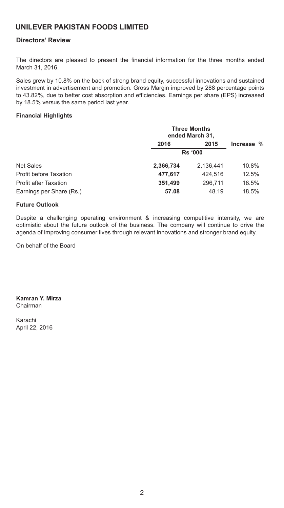#### **Directors' Review**

The directors are pleased to present the financial information for the three months ended March 31, 2016.

Sales grew by 10.8% on the back of strong brand equity, successful innovations and sustained investment in advertisement and promotion. Gross Margin improved by 288 percentage points to 43.82%, due to better cost absorption and efficiencies. Earnings per share (EPS) increased by 18.5% versus the same period last year.

#### **Financial Highlights**

|                               | <b>Three Months</b><br>ended March 31, |                |            |  |
|-------------------------------|----------------------------------------|----------------|------------|--|
|                               | 2016                                   | 2015           | Increase % |  |
|                               |                                        | <b>Rs '000</b> |            |  |
| <b>Net Sales</b>              | 2,366,734                              | 2.136.441      | 10.8%      |  |
| <b>Profit before Taxation</b> | 477.617                                | 424.516        | 12.5%      |  |
| <b>Profit after Taxation</b>  | 351,499                                | 296.711        | 18.5%      |  |
| Earnings per Share (Rs.)      | 57.08                                  | 48.19          | 18.5%      |  |

#### **Future Outlook**

Despite a challenging operating environment & increasing competitive intensity, we are optimistic about the future outlook of the business. The company will continue to drive the agenda of improving consumer lives through relevant innovations and stronger brand equity.

On behalf of the Board

**Kamran Y. Mirza**  Chairman

Karachi April 22, 2016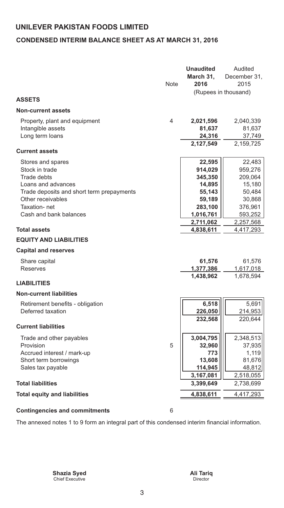#### **CONDENSED INTERIM BALANCE SHEET AS AT MARCH 31, 2016**

|                                           |             | <b>Unaudited</b> | Audited              |
|-------------------------------------------|-------------|------------------|----------------------|
|                                           |             | March 31,        | December 31,         |
|                                           | <b>Note</b> | 2016             | 2015                 |
|                                           |             |                  | (Rupees in thousand) |
| <b>ASSETS</b>                             |             |                  |                      |
| <b>Non-current assets</b>                 |             |                  |                      |
| Property, plant and equipment             | 4           | 2,021,596        | 2,040,339            |
| Intangible assets                         |             | 81,637           | 81,637               |
| Long term loans                           |             | 24,316           | 37,749               |
|                                           |             | 2,127,549        | 2,159,725            |
| <b>Current assets</b>                     |             |                  |                      |
| Stores and spares                         |             | 22,595           | 22,483               |
| Stock in trade                            |             | 914,029          | 959,276              |
| <b>Trade debts</b>                        |             | 345,350          | 209,064              |
| Loans and advances                        |             | 14,895           | 15,180               |
| Trade deposits and short term prepayments |             | 55,143           | 50,484               |
| Other receivables                         |             | 59,189           | 30,868               |
| Taxation-net                              |             | 283,100          | 376,961              |
| Cash and bank balances                    |             | 1,016,761        | 593,252              |
|                                           |             | 2,711,062        | 2,257,568            |
| <b>Total assets</b>                       |             | 4,838,611        | 4,417,293            |
| <b>EQUITY AND LIABILITIES</b>             |             |                  |                      |
| <b>Capital and reserves</b>               |             |                  |                      |
| Share capital                             |             | 61,576           | 61,576               |
| <b>Reserves</b>                           |             | 1,377,386        | 1,617,018            |
|                                           |             | 1,438,962        | 1,678,594            |
| <b>LIABILITIES</b>                        |             |                  |                      |
| <b>Non-current liabilities</b>            |             |                  |                      |
| Retirement benefits - obligation          |             | 6,518            | 5,691                |
| Deferred taxation                         |             | 226,050          | 214,953              |
|                                           |             | 232,568          | 220,644              |
| <b>Current liabilities</b>                |             |                  |                      |
| Trade and other payables                  |             | 3,004,795        | 2,348,513            |
| Provision                                 | 5           | 32,960           | 37,935               |
| Accrued interest / mark-up                |             | 773              | 1,119                |
| Short term borrowings                     |             | 13,608           | 81,676               |
| Sales tax payable                         |             | 114,945          | 48,812               |
|                                           |             | 3,167,081        | 2,518,055            |
| <b>Total liabilities</b>                  |             | 3,399,649        | 2,738,699            |
| <b>Total equity and liabilities</b>       |             | 4,838,611        | 4,417,293            |
| <b>Contingencies and commitments</b>      | 6           |                  |                      |
|                                           |             |                  |                      |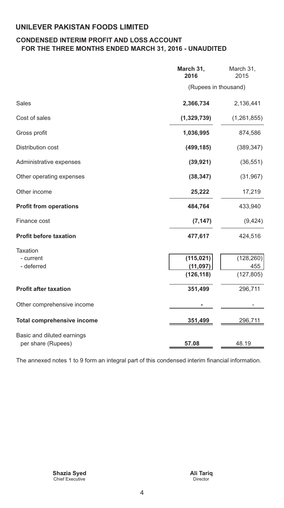#### **CONDENSED INTERIM PROFIT AND LOSS ACCOUNT FOR THE THREE MONTHS ENDED MARCH 31, 2016 - UNAUDITED**

|                                                  | March 31,<br>2016                     | March 31,<br>2015               |
|--------------------------------------------------|---------------------------------------|---------------------------------|
|                                                  | (Rupees in thousand)                  |                                 |
| <b>Sales</b>                                     | 2,366,734                             | 2,136,441                       |
| Cost of sales                                    | (1,329,739)                           | (1, 261, 855)                   |
| Gross profit                                     | 1,036,995                             | 874,586                         |
| Distribution cost                                | (499, 185)                            | (389, 347)                      |
| Administrative expenses                          | (39, 921)                             | (36, 551)                       |
| Other operating expenses                         | (38, 347)                             | (31, 967)                       |
| Other income                                     | 25,222                                | 17,219                          |
| <b>Profit from operations</b>                    | 484,764                               | 433,940                         |
| Finance cost                                     | (7, 147)                              | (9, 424)                        |
| <b>Profit before taxation</b>                    | 477,617                               | 424,516                         |
| <b>Taxation</b><br>- current<br>- deferred       | (115, 021)<br>(11, 097)<br>(126, 118) | (128, 260)<br>455<br>(127, 805) |
| <b>Profit after taxation</b>                     | 351,499                               | 296,711                         |
| Other comprehensive income                       |                                       |                                 |
| <b>Total comprehensive income</b>                | 351,499                               | 296,711                         |
| Basic and diluted earnings<br>per share (Rupees) | 57.08                                 | 48.19                           |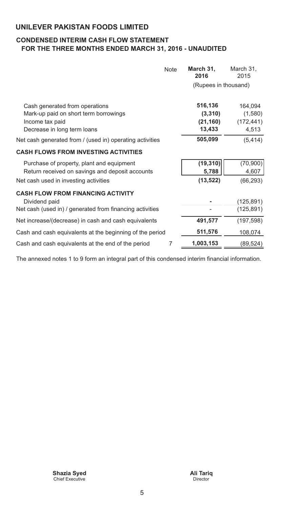#### **CONDENSED INTERIM CASH FLOW STATEMENT FOR THE THREE MONTHS ENDED MARCH 31, 2016 - UNAUDITED**

|                                                                                                                                       | <b>Note</b> | March 31,<br>2016                         | March 31,<br>2015                         |
|---------------------------------------------------------------------------------------------------------------------------------------|-------------|-------------------------------------------|-------------------------------------------|
|                                                                                                                                       |             | (Rupees in thousand)                      |                                           |
| Cash generated from operations<br>Mark-up paid on short term borrowings<br>Income tax paid<br>Decrease in long term loans             |             | 516,136<br>(3,310)<br>(21, 160)<br>13,433 | 164,094<br>(1,580)<br>(172, 441)<br>4,513 |
| Net cash generated from / (used in) operating activities                                                                              |             | 505,099                                   | (5, 414)                                  |
| <b>CASH FLOWS FROM INVESTING ACTIVITIES</b>                                                                                           |             |                                           |                                           |
| Purchase of property, plant and equipment<br>Return received on savings and deposit accounts<br>Net cash used in investing activities |             | (19, 310)<br>5,788<br>(13, 522)           | (70, 900)<br>4,607<br>(66, 293)           |
| <b>CASH FLOW FROM FINANCING ACTIVITY</b><br>Dividend paid<br>Net cash (used in) / generated from financing activities                 |             |                                           | (125,891)<br>(125, 891)                   |
| Net increase/(decrease) in cash and cash equivalents                                                                                  |             | 491,577                                   | (197, 598)                                |
| Cash and cash equivalents at the beginning of the period                                                                              |             | 511,576                                   | 108,074                                   |
| Cash and cash equivalents at the end of the period                                                                                    | 7           | 1,003,153                                 | (89,524)                                  |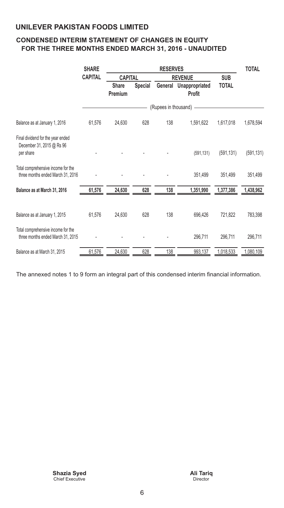#### **CONDENSED INTERIM STATEMENT OF CHANGES IN EQUITY FOR THE THREE MONTHS ENDED MARCH 31, 2016 - UNAUDITED**

|                                                                             | <b>SHARE</b>   | <b>RESERVES</b>                |                |                        |                                 | <b>TOTAL</b> |            |
|-----------------------------------------------------------------------------|----------------|--------------------------------|----------------|------------------------|---------------------------------|--------------|------------|
|                                                                             | <b>CAPITAL</b> | <b>CAPITAL</b>                 |                | <b>REVENUE</b>         |                                 | <b>SUB</b>   |            |
|                                                                             |                | <b>Share</b><br><b>Premium</b> | <b>Special</b> | General                | Unappropriated<br><b>Profit</b> | <b>TOTAL</b> |            |
|                                                                             |                |                                |                | (Rupees in thousand) - |                                 |              |            |
| Balance as at January 1, 2016                                               | 61,576         | 24,630                         | 628            | 138                    | 1,591,622                       | 1,617,018    | 1,678,594  |
| Final dividend for the year ended<br>December 31, 2015 @ Rs 96<br>per share |                |                                |                |                        | (591, 131)                      | (591, 131)   | (591, 131) |
| Total comprehensive income for the<br>three months ended March 31, 2016     |                |                                |                |                        | 351,499                         | 351,499      | 351,499    |
| Balance as at March 31, 2016                                                | 61,576         | 24,630                         | 628            | 138                    | 1,351,990                       | 1,377,386    | 1,438,962  |
| Balance as at January 1, 2015                                               | 61,576         | 24,630                         | 628            | 138                    | 696,426                         | 721,822      | 783,398    |
| Total comprehensive income for the<br>three months ended March 31, 2015     |                |                                |                |                        | 296,711                         | 296,711      | 296,711    |
| Balance as at March 31, 2015                                                | 61,576         | 24,630                         | 628            | 138                    | 993,137                         | 1,018,533    | 1,080,109  |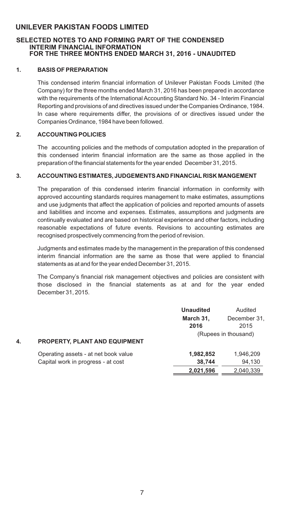#### **SELECTED NOTES TO AND FORMING PART OF THE CONDENSED INTERIM FINANCIAL INFORMATION FOR THE THREE MONTHS ENDED MARCH 31, 2016 - UNAUDITED**

#### **1. BASIS OF PREPARATION**

This condensed interim financial information of Unilever Pakistan Foods Limited (the Company) for the three months ended March 31, 2016 has been prepared in accordance with the requirements of the International Accounting Standard No. 34 - Interim Financial Reporting and provisions of and directives issued under the Companies Ordinance, 1984. In case where requirements differ, the provisions of or directives issued under the Companies Ordinance, 1984 have been followed.

#### **2. ACCOUNTING POLICIES**

The accounting policies and the methods of computation adopted in the preparation of this condensed interim financial information are the same as those applied in the preparation of the financial statements for the year ended December 31, 2015.

#### **3. ACCOUNTING ESTIMATES, JUDGEMENTS AND FINANCIAL RISK MANGEMENT**

The preparation of this condensed interim financial information in conformity with approved accounting standards requires management to make estimates, assumptions and use judgments that affect the application of policies and reported amounts of assets and liabilities and income and expenses. Estimates, assumptions and judgments are continually evaluated and are based on historical experience and other factors, including reasonable expectations of future events. Revisions to accounting estimates are recognised prospectively commencing from the period of revision.

Judgments and estimates made by the management in the preparation of this condensed interim financial information are the same as those that were applied to financial statements as at and for the year ended December 31, 2015.

 those disclosed in the financial statements as at and for the year ended The Company's financial risk management objectives and policies are consistent with December 31, 2015.

|    |                                                                            | <b>Unaudited</b><br>March 31,<br>2016 | Audited<br>December 31,<br>2015<br>(Rupees in thousand) |
|----|----------------------------------------------------------------------------|---------------------------------------|---------------------------------------------------------|
| 4. | <b>PROPERTY, PLANT AND EQUIPMENT</b>                                       |                                       |                                                         |
|    | Operating assets - at net book value<br>Capital work in progress - at cost | 1,982,852<br>38,744                   | 1,946,209<br>94,130                                     |
|    |                                                                            | 2,021,596                             | 2,040,339                                               |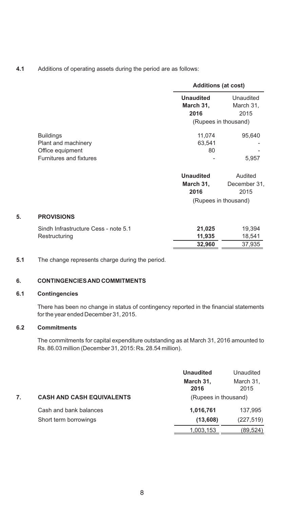**4.1** Additions of operating assets during the period are as follows:

|    |                                      | <b>Additions (at cost)</b>    |                              |
|----|--------------------------------------|-------------------------------|------------------------------|
|    |                                      | <b>Unaudited</b><br>March 31, | Unaudited<br>March 31,       |
|    |                                      | 2016                          | 2015<br>(Rupees in thousand) |
|    |                                      |                               |                              |
|    | <b>Buildings</b>                     | 11,074                        | 95,640                       |
|    | Plant and machinery                  | 63,541                        |                              |
|    | Office equipment                     | 80                            |                              |
|    | Furnitures and fixtures              |                               | 5,957                        |
|    |                                      | <b>Unaudited</b>              | Audited                      |
|    |                                      | March 31,                     | December 31,                 |
|    |                                      | 2016                          | 2015                         |
|    |                                      |                               | (Rupees in thousand)         |
| 5. | <b>PROVISIONS</b>                    |                               |                              |
|    | Sindh Infrastructure Cess - note 5.1 | 21,025                        | 19,394                       |
|    | Restructuring                        | 11,935                        | 18,541                       |
|    |                                      | 32,960                        | 37,935                       |
|    |                                      |                               |                              |

**5.1** The change represents charge during the period.

#### **6. CONTINGENCIES AND COMMITMENTS**

#### **6.1 Contingencies**

There has been no change in status of contingency reported in the financial statements for the year ended December 31, 2015.

#### **6.2 Commitments**

The commitments for capital expenditure outstanding as at March 31, 2016 amounted to Rs. 86.03 million (December 31, 2015: Rs. 28.54 million).

|    |                                  | <b>Unaudited</b>     | Unaudited         |
|----|----------------------------------|----------------------|-------------------|
|    |                                  | March 31,<br>2016    | March 31,<br>2015 |
| 7. | <b>CASH AND CASH EQUIVALENTS</b> | (Rupees in thousand) |                   |
|    | Cash and bank balances           | 1,016,761            | 137.995           |
|    | Short term borrowings            | (13,608)             | (227, 519)        |
|    |                                  | 1,003,153            | (89, 524)         |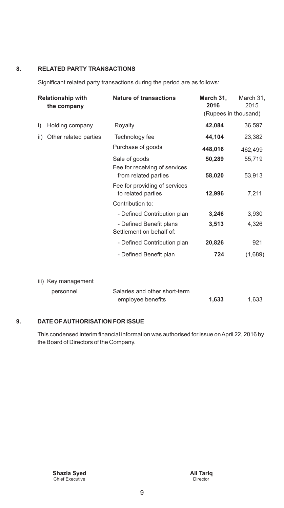#### **8. RELATED PARTY TRANSACTIONS**

Significant related party transactions during the period are as follows:

|     | <b>Relationship with</b><br>the company | <b>Nature of transactions</b>                         | March 31,<br>2016<br>(Rupees in thousand) | March 31,<br>2015 |
|-----|-----------------------------------------|-------------------------------------------------------|-------------------------------------------|-------------------|
|     |                                         |                                                       |                                           |                   |
| i)  | Holding company                         | Rovalty                                               | 42,084                                    | 36,597            |
| ii) | Other related parties                   | Technology fee                                        | 44,104                                    | 23,382            |
|     |                                         | Purchase of goods                                     | 448,016                                   | 462,499           |
|     |                                         | Sale of goods                                         | 50,289                                    | 55,719            |
|     |                                         | Fee for receiving of services<br>from related parties | 58,020                                    | 53,913            |
|     |                                         | Fee for providing of services<br>to related parties   | 12,996                                    | 7,211             |
|     |                                         | Contribution to:                                      |                                           |                   |
|     |                                         | - Defined Contribution plan                           | 3,246                                     | 3,930             |
|     |                                         | - Defined Benefit plans<br>Settlement on behalf of:   | 3,513                                     | 4,326             |
|     |                                         | - Defined Contribution plan                           | 20,826                                    | 921               |
|     |                                         | - Defined Benefit plan                                | 724                                       | (1,689)           |
|     | iii) Key management                     |                                                       |                                           |                   |
|     | personnel                               | Salaries and other short-term<br>employee benefits    | 1,633                                     | 1,633             |

#### **9. DATE OF AUTHORISATION FOR ISSUE**

This condensed interim financial information was authorised for issue on April 22, 2016 by the Board of Directors of the Company.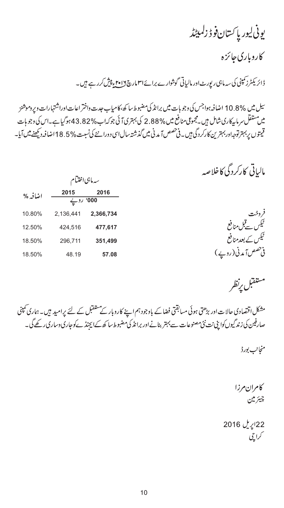## يونى ليور پا ڪسان فوڈ زلمبيٹڈ

کاروباری جائزه

ڈائریکٹرز کمپنی کی سہ ماہی رپورٹ اور مالیاتی گوشوارے برائے ا<sup>مہ</sup>امارچ ۲<u>۰۱۶ء</u> پنیش کرر ہے ہیں۔

سیل میں %10.8 اضافہ ہواجس کی وجو ہات میں برانڈ کی مضبوط سا کھ،کامیاب جدت داختر اعات اوراشتہارات ویروموشنز میں مستقل سر ماںپرکاری شامل ہیں ۔مجموعی منافع میں % 2.88 کی بہتری آ ئی جوکہاب % 43.82 ہوگیا ہے۔اس کی وجو ہات قيمتوں پر بہترتوجهاور بہترين كاركردگى ہيں۔فی *حصص آ*مدنی ميں گذشتہ سال <sub>ا</sub>س دورانئے كى نسبت % 5. 18 اضافہ ديكھنے ميں آيا۔

مالیاتی کارکردگی کاخلاصه

|           | سەمابىي اختتام    |         |
|-----------|-------------------|---------|
| 2016      | 2015<br>000' روپے | اضافه % |
| 2,366,734 | 2,136,441         | 10.80%  |
| 477,617   | 424,516           | 12.50%  |
| 351,499   | 296,711           | 18.50%  |
| 57.08     | 48.19             | 18.50%  |

مستفتبل يرنظر

مشکل اقتصادی حالات اور بڑھتی ہوئی مسابقتی فضا کے باوجودہم اپنے کاروبار کے مستقبل کے لئے <sub>کی</sub>امید ہیں۔ ہماری کمپنی صارفین کی زند گیوں کواپنی نت نئی مصنوعات سے بہتر بنانے اور برانڈ کی مضبوط سا کھ کےاپچنڈ کے وجاری وساری رکھے گی۔

منجانب بورڈ

كامران مرزا چيئر ملن

22اپریل 2016 کراچی